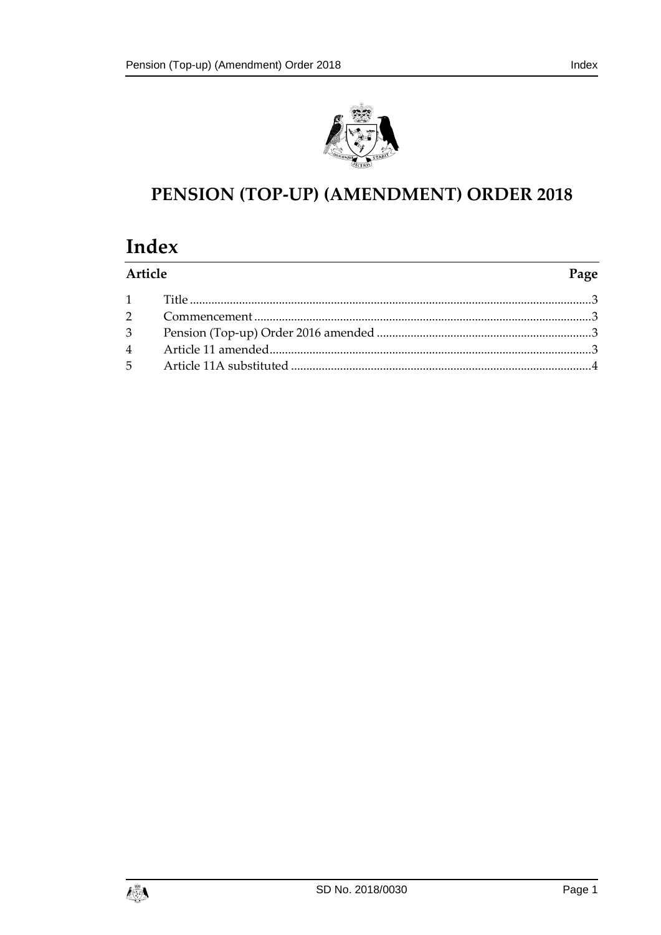



# PENSION (TOP-UP) (AMENDMENT) ORDER 2018

## Index

| Article | Page |
|---------|------|
|         |      |
|         |      |
|         |      |
|         |      |
|         |      |

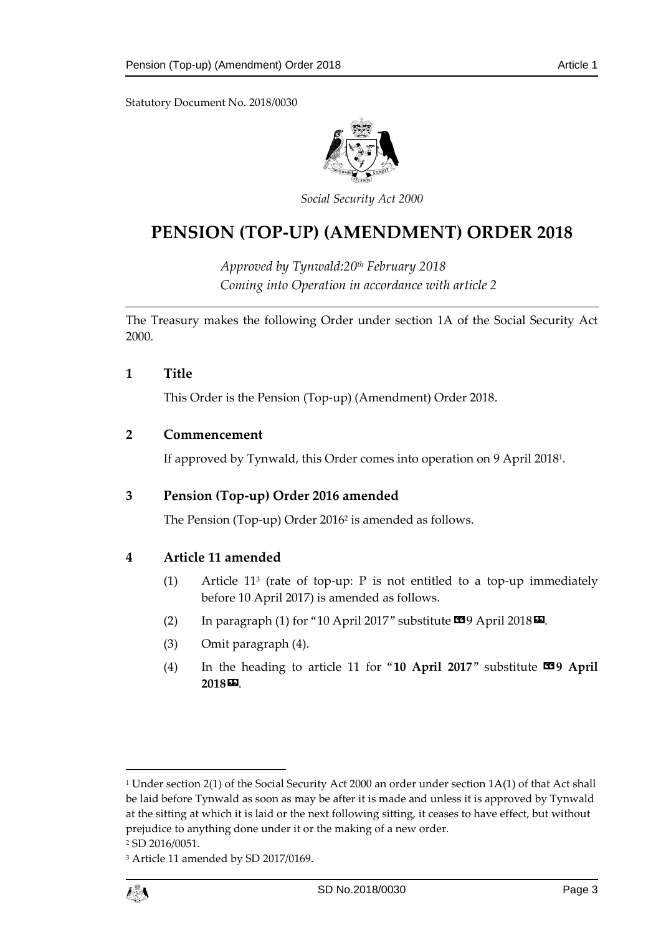Statutory Document No. 2018/0030



*Social Security Act 2000*

### **PENSION (TOP-UP) (AMENDMENT) ORDER 2018**

*Approved by Tynwald:20th February 2018 Coming into Operation in accordance with article 2*

The Treasury makes the following Order under section 1A of the Social Security Act 2000.

<span id="page-2-0"></span>**1 Title**

This Order is the Pension (Top-up) (Amendment) Order 2018.

#### <span id="page-2-1"></span>**2 Commencement**

If approved by Tynwald, this Order comes into operation on 9 April 2018<sup>1</sup> .

#### <span id="page-2-2"></span>**3 Pension (Top-up) Order 2016 amended**

The Pension (Top-up) Order 2016<sup>2</sup> is amended as follows.

#### <span id="page-2-3"></span>**4 Article 11 amended**

- (1) Article 11<sup>3</sup> (rate of top-up: P is not entitled to a top-up immediately before 10 April 2017) is amended as follows.
- (2) In paragraph (1) for "10 April 2017" substitute  $\blacksquare$ 9 April 2018 $\blacksquare$ .
- (3) Omit paragraph (4).
- (4) In the heading to article 11 for "10 April 2017" substitute **19 April 2018**».

<sup>3</sup> Article 11 amended by SD 2017/0169.



 $\overline{a}$ 

<sup>1</sup> Under section 2(1) of the Social Security Act 2000 an order under section 1A(1) of that Act shall be laid before Tynwald as soon as may be after it is made and unless it is approved by Tynwald at the sitting at which it is laid or the next following sitting, it ceases to have effect, but without prejudice to anything done under it or the making of a new order.

<sup>2</sup> SD 2016/0051.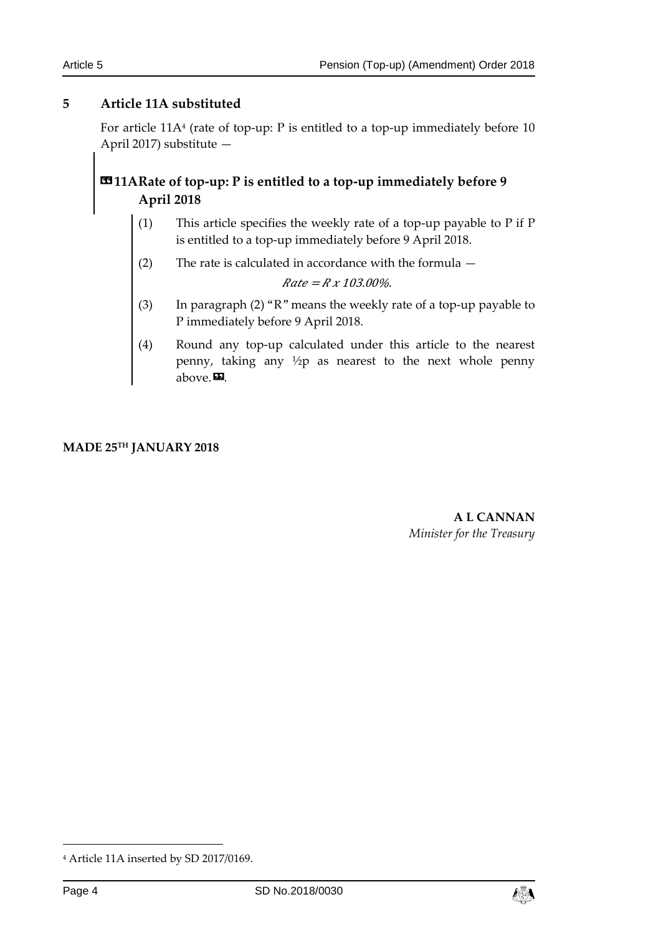#### <span id="page-3-0"></span>**5 Article 11A substituted**

For article 11A<sup>4</sup> (rate of top-up: P is entitled to a top-up immediately before 10 April 2017) substitute —

### **«11ARate of top-up: P is entitled to a top-up immediately before 9 April 2018**

- (1) This article specifies the weekly rate of a top-up payable to P if P is entitled to a top-up immediately before 9 April 2018.
- (2) The rate is calculated in accordance with the formula —

 $Rate = R x 103.00\%$ .

- (3) In paragraph (2) "R" means the weekly rate of a top-up payable to P immediately before 9 April 2018.
- (4) Round any top-up calculated under this article to the nearest penny, taking any ½p as nearest to the next whole penny above. $\mathbf{E}$ .

**MADE 25TH JANUARY 2018**

**A L CANNAN** *Minister for the Treasury*

-



<sup>4</sup> Article 11A inserted by SD 2017/0169.